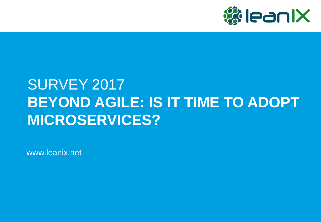

# SURVEY 2017 **BEYOND AGILE: IS IT TIME TO ADOPT MICROSERVICES?**

www.leanix.net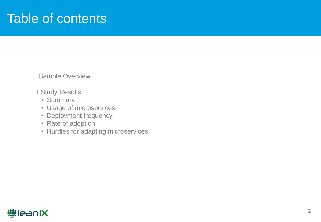#### Table of contents

I Sample Overview

II Study Results

- Summary
- Usage of microservices
- Deployment frequency
- Rate of adoption
- Hurdles for adapting microservices

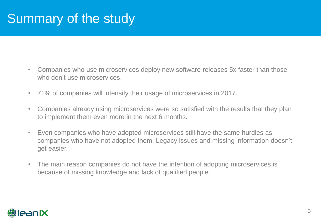## Summary of the study

- Companies who use microservices deploy new software releases 5x faster than those who don't use microservices.
- 71% of companies will intensify their usage of microservices in 2017.
- Companies already using microservices were so satisfied with the results that they plan to implement them even more in the next 6 months.
- Even companies who have adopted microservices still have the same hurdles as companies who have not adopted them. Legacy issues and missing information doesn't get easier.
- The main reason companies do not have the intention of adopting microservices is because of missing knowledge and lack of qualified people.

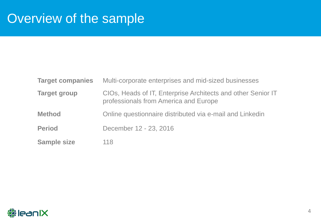## Overview of the sample

| <b>Target companies</b> | Multi-corporate enterprises and mid-sized businesses                                                  |
|-------------------------|-------------------------------------------------------------------------------------------------------|
| <b>Target group</b>     | CIOs, Heads of IT, Enterprise Architects and other Senior IT<br>professionals from America and Europe |
| <b>Method</b>           | Online questionnaire distributed via e-mail and Linkedin                                              |
| <b>Period</b>           | December 12 - 23, 2016                                                                                |
| <b>Sample size</b>      | 118                                                                                                   |

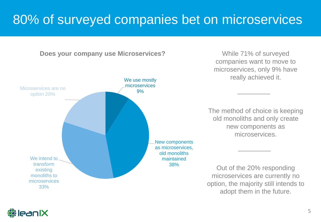#### 80% of surveyed companies bet on microservices



companies want to move to microservices, only 9% have really achieved it.

The method of choice is keeping old monoliths and only create new components as microservices.

Out of the 20% responding microservices are currently no option, the majority still intends to adopt them in the future.

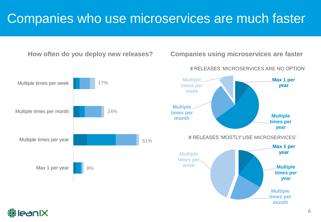



**month**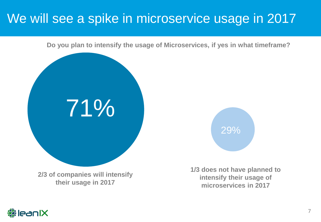#### We will see a spike in microservice usage in 2017

**Do you plan to intensify the usage of Microservices, if yes in what timeframe?**



**their usage in 2017**



**1/3 does not have planned to intensify their usage of microservices in 2017**

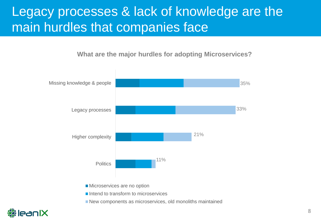## Legacy processes & lack of knowledge are the main hurdles that companies face

**What are the major hurdles for adopting Microservices?**



- Microservices are no option
- Intend to transform to microservices
- New components as microservices, old monoliths maintained

#### leanIX